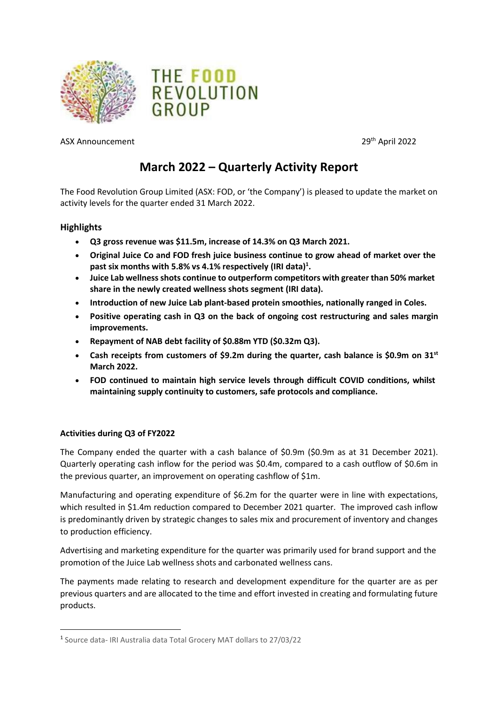



ASX Announcement 29th April 2022

# **March 2022 – Quarterly Activity Report**

The Food Revolution Group Limited (ASX: FOD, or 'the Company') is pleased to update the market on activity levels for the quarter ended 31 March 2022.

# **Highlights**

- **Q3 gross revenue was \$11.5m, increase of 14.3% on Q3 March 2021.**
- **Original Juice Co and FOD fresh juice business continue to grow ahead of market over the past six months with 5.8% vs 4.1% respectively (IRI data)[1](#page-0-0) .**
- **Juice Lab wellness shots continue to outperform competitors with greater than 50% market share in the newly created wellness shots segment (IRI data).**
- **Introduction of new Juice Lab plant-based protein smoothies, nationally ranged in Coles.**
- **Positive operating cash in Q3 on the back of ongoing cost restructuring and sales margin improvements.**
- **Repayment of NAB debt facility of \$0.88m YTD (\$0.32m Q3).**
- **Cash receipts from customers of \$9.2m during the quarter, cash balance is \$0.9m on 31st March 2022.**
- **FOD continued to maintain high service levels through difficult COVID conditions, whilst maintaining supply continuity to customers, safe protocols and compliance.**

# **Activities during Q3 of FY2022**

The Company ended the quarter with a cash balance of \$0.9m (\$0.9m as at 31 December 2021). Quarterly operating cash inflow for the period was \$0.4m, compared to a cash outflow of \$0.6m in the previous quarter, an improvement on operating cashflow of \$1m.

Manufacturing and operating expenditure of \$6.2m for the quarter were in line with expectations, which resulted in \$1.4m reduction compared to December 2021 quarter. The improved cash inflow is predominantly driven by strategic changes to sales mix and procurement of inventory and changes to production efficiency.

Advertising and marketing expenditure for the quarter was primarily used for brand support and the promotion of the Juice Lab wellness shots and carbonated wellness cans.

The payments made relating to research and development expenditure for the quarter are as per previous quarters and are allocated to the time and effort invested in creating and formulating future products.

<span id="page-0-0"></span><sup>1</sup> Source data- IRI Australia data Total Grocery MAT dollars to 27/03/22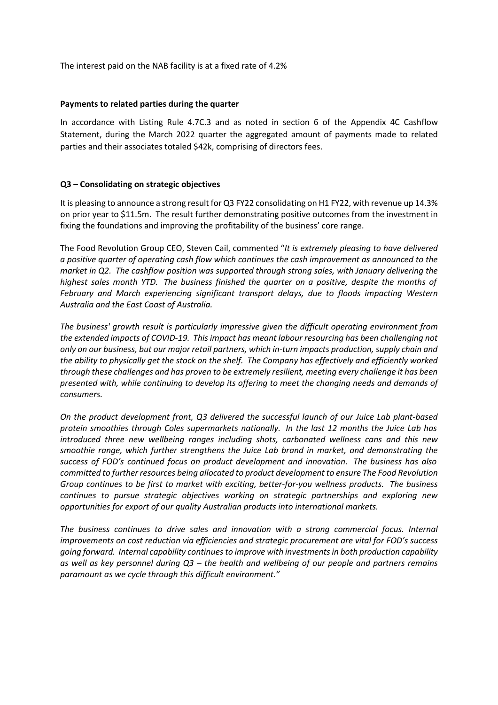The interest paid on the NAB facility is at a fixed rate of 4.2%

## **Payments to related parties during the quarter**

In accordance with Listing Rule 4.7C.3 and as noted in section 6 of the Appendix 4C Cashflow Statement, during the March 2022 quarter the aggregated amount of payments made to related parties and their associates totaled \$42k, comprising of directors fees.

## **Q3 – Consolidating on strategic objectives**

It is pleasing to announce a strong result for Q3 FY22 consolidating on H1 FY22, with revenue up 14.3% on prior year to \$11.5m. The result further demonstrating positive outcomes from the investment in fixing the foundations and improving the profitability of the business' core range.

The Food Revolution Group CEO, Steven Cail, commented "*It is extremely pleasing to have delivered a positive quarter of operating cash flow which continues the cash improvement as announced to the market in Q2. The cashflow position was supported through strong sales, with January delivering the highest sales month YTD. The business finished the quarter on a positive, despite the months of February and March experiencing significant transport delays, due to floods impacting Western Australia and the East Coast of Australia.* 

*The business' growth result is particularly impressive given the difficult operating environment from the extended impacts of COVID-19. This impact has meant labour resourcing has been challenging not only on our business, but our major retail partners, which in-turn impacts production, supply chain and the ability to physically get the stock on the shelf. The Company has effectively and efficiently worked through these challenges and has proven to be extremely resilient, meeting every challenge it has been presented with, while continuing to develop its offering to meet the changing needs and demands of consumers.* 

*On the product development front, Q3 delivered the successful launch of our Juice Lab plant-based protein smoothies through Coles supermarkets nationally. In the last 12 months the Juice Lab has introduced three new wellbeing ranges including shots, carbonated wellness cans and this new smoothie range, which further strengthens the Juice Lab brand in market, and demonstrating the success of FOD's continued focus on product development and innovation. The business has also committed to further resources being allocated to product development to ensure The Food Revolution Group continues to be first to market with exciting, better-for-you wellness products. The business continues to pursue strategic objectives working on strategic partnerships and exploring new opportunities for export of our quality Australian products into international markets.*

*The business continues to drive sales and innovation with a strong commercial focus. Internal improvements on cost reduction via efficiencies and strategic procurement are vital for FOD's success going forward. Internal capability continues to improve with investments in both production capability as well as key personnel during Q3 – the health and wellbeing of our people and partners remains paramount as we cycle through this difficult environment."*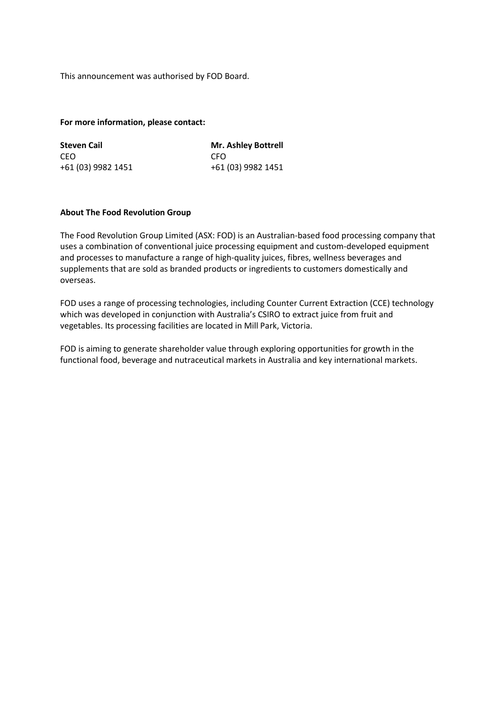This announcement was authorised by FOD Board.

#### **For more information, please contact:**

| <b>Steven Cail</b> | <b>Mr. Ashley Bottrell</b> |
|--------------------|----------------------------|
| CEO.               | CFO.                       |
| +61 (03) 9982 1451 | +61 (03) 9982 1451         |

### **About The Food Revolution Group**

The Food Revolution Group Limited (ASX: FOD) is an Australian-based food processing company that uses a combination of conventional juice processing equipment and custom-developed equipment and processes to manufacture a range of high-quality juices, fibres, wellness beverages and supplements that are sold as branded products or ingredients to customers domestically and overseas.

FOD uses a range of processing technologies, including Counter Current Extraction (CCE) technology which was developed in conjunction with Australia's CSIRO to extract juice from fruit and vegetables. Its processing facilities are located in Mill Park, Victoria.

FOD is aiming to generate shareholder value through exploring opportunities for growth in the functional food, beverage and nutraceutical markets in Australia and key international markets.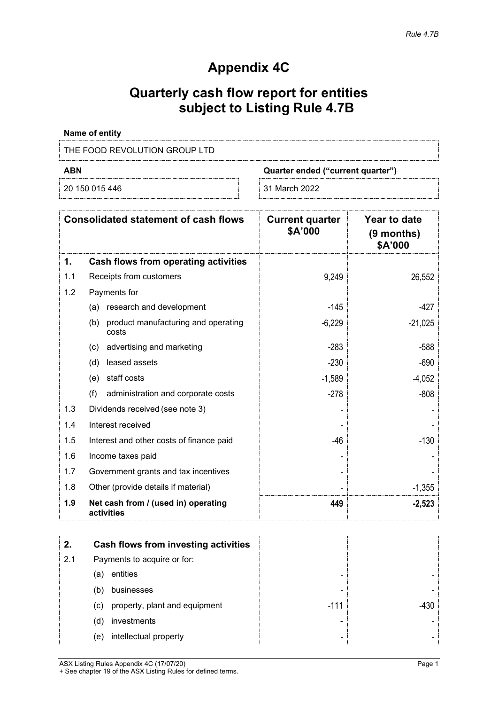# **Appendix 4C**

# **Quarterly cash flow report for entities subject to Listing Rule 4.7B**

# **Name of entity**

# THE FOOD REVOLUTION GROUP LTD

20 150 015 446 31 March 2022

**ABN Quarter ended ("current quarter")**

|     | <b>Consolidated statement of cash flows</b>         | <b>Current quarter</b><br>\$A'000 | Year to date<br>$(9$ months)<br>\$A'000 |
|-----|-----------------------------------------------------|-----------------------------------|-----------------------------------------|
| 1.  | Cash flows from operating activities                |                                   |                                         |
| 1.1 | Receipts from customers                             | 9,249                             | 26,552                                  |
| 1.2 | Payments for                                        |                                   |                                         |
|     | research and development<br>(a)                     | $-145$                            | $-427$                                  |
|     | product manufacturing and operating<br>(b)<br>costs | $-6,229$                          | $-21,025$                               |
|     | advertising and marketing<br>(c)                    | $-283$                            | $-588$                                  |
|     | leased assets<br>(d)                                | $-230$                            | $-690$                                  |
|     | staff costs<br>(e)                                  | $-1,589$                          | $-4,052$                                |
|     | (f)<br>administration and corporate costs           | $-278$                            | $-808$                                  |
| 1.3 | Dividends received (see note 3)                     |                                   |                                         |
| 1.4 | Interest received                                   |                                   |                                         |
| 1.5 | Interest and other costs of finance paid            | $-46$                             | $-130$                                  |
| 1.6 | Income taxes paid                                   |                                   |                                         |
| 1.7 | Government grants and tax incentives                |                                   |                                         |
| 1.8 | Other (provide details if material)                 |                                   | $-1,355$                                |
| 1.9 | Net cash from / (used in) operating<br>activities   | 449                               | $-2,523$                                |

|     | Cash flows from investing activities |        |  |
|-----|--------------------------------------|--------|--|
| 2.1 | Payments to acquire or for:          |        |  |
|     | entities<br>(a)                      |        |  |
|     | businesses<br>(b)                    | -      |  |
|     | property, plant and equipment<br>(c) | $-111$ |  |
|     | investments<br>(d)                   |        |  |
|     | intellectual property<br>(e)         |        |  |

ASX Listing Rules Appendix 4C (17/07/20) Page 1 + See chapter 19 of the ASX Listing Rules for defined terms.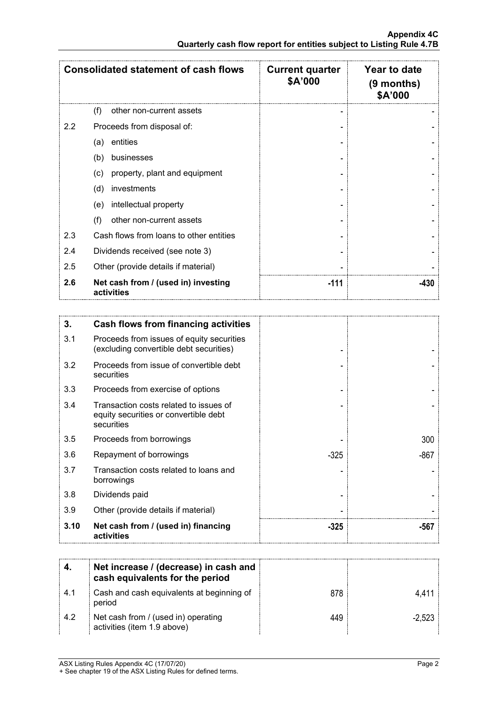|     | <b>Consolidated statement of cash flows</b>       | <b>Current quarter</b><br>\$A'000 | Year to date<br>(9 months)<br>\$A'000 |
|-----|---------------------------------------------------|-----------------------------------|---------------------------------------|
|     | other non-current assets<br>(f)                   |                                   |                                       |
| 2.2 | Proceeds from disposal of:                        |                                   |                                       |
|     | entities<br>(a)                                   |                                   |                                       |
|     | (b)<br>businesses                                 |                                   |                                       |
|     | property, plant and equipment<br>(c)              |                                   |                                       |
|     | investments<br>(d)                                |                                   |                                       |
|     | intellectual property<br>(e)                      |                                   |                                       |
|     | (f)<br>other non-current assets                   |                                   |                                       |
| 2.3 | Cash flows from loans to other entities           |                                   |                                       |
| 2.4 | Dividends received (see note 3)                   |                                   |                                       |
| 2.5 | Other (provide details if material)               |                                   |                                       |
| 2.6 | Net cash from / (used in) investing<br>activities | $-111$                            | -430                                  |

| 3.   | Cash flows from financing activities                                                          |        |      |
|------|-----------------------------------------------------------------------------------------------|--------|------|
| 3.1  | Proceeds from issues of equity securities<br>(excluding convertible debt securities)          |        |      |
| 3.2  | Proceeds from issue of convertible debt<br>securities                                         |        |      |
| 3.3  | Proceeds from exercise of options                                                             |        |      |
| 3.4  | Transaction costs related to issues of<br>equity securities or convertible debt<br>securities |        |      |
| 3.5  | Proceeds from borrowings                                                                      |        | 300  |
| 3.6  | Repayment of borrowings                                                                       | $-325$ | -867 |
| 3.7  | Transaction costs related to loans and<br>borrowings                                          |        |      |
| 3.8  | Dividends paid                                                                                |        |      |
| 3.9  | Other (provide details if material)                                                           |        |      |
| 3.10 | Net cash from / (used in) financing<br>activities                                             | -325   | -567 |

|      | Net increase / (decrease) in cash and<br>cash equivalents for the period |     |        |
|------|--------------------------------------------------------------------------|-----|--------|
| -4.1 | Cash and cash equivalents at beginning of<br>period                      | 878 |        |
| 4.2  | Net cash from / (used in) operating<br>activities (item 1.9 above)       |     | -2.523 |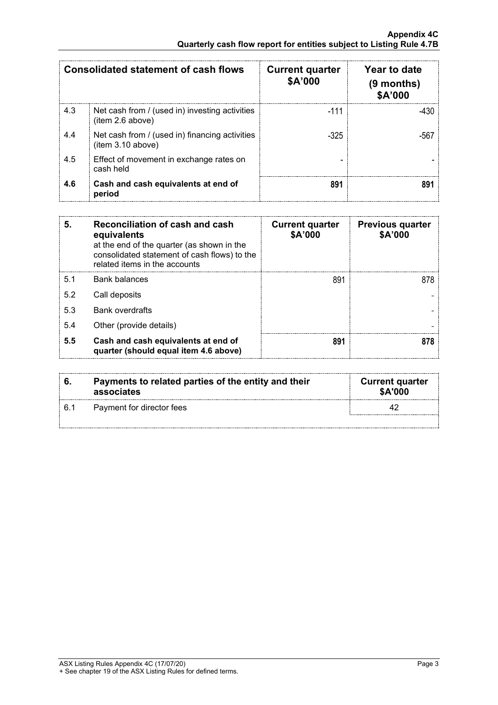|     | <b>Consolidated statement of cash flows</b>                         | <b>Current quarter</b><br>\$A'000 | Year to date<br>$(9$ months)<br>\$A'000 |
|-----|---------------------------------------------------------------------|-----------------------------------|-----------------------------------------|
| 4.3 | Net cash from / (used in) investing activities<br>(item 2.6 above)  | $-111$                            | -430.                                   |
| 4.4 | Net cash from / (used in) financing activities<br>(item 3.10 above) | $-325$                            |                                         |
| 4.5 | Effect of movement in exchange rates on<br>cash held                |                                   |                                         |
| 4.6 | Cash and cash equivalents at end of<br>period                       | 891                               |                                         |

| 5.  | Reconciliation of cash and cash<br>equivalents<br>at the end of the quarter (as shown in the<br>consolidated statement of cash flows) to the<br>related items in the accounts | <b>Current quarter</b><br>\$A'000 | <b>Previous quarter</b><br>\$A'000 |
|-----|-------------------------------------------------------------------------------------------------------------------------------------------------------------------------------|-----------------------------------|------------------------------------|
| 51  | Bank balances                                                                                                                                                                 | 891                               |                                    |
| 5.2 | Call deposits                                                                                                                                                                 |                                   |                                    |
| 5.3 | <b>Bank overdrafts</b>                                                                                                                                                        |                                   |                                    |
| 5.4 | Other (provide details)                                                                                                                                                       |                                   |                                    |
| 5.5 | Cash and cash equivalents at end of<br>quarter (should equal item 4.6 above)                                                                                                  | 891                               |                                    |

|     | Payments to related parties of the entity and their<br>associates | <b>Current quarter</b><br><b>\$A'000</b> |
|-----|-------------------------------------------------------------------|------------------------------------------|
| 6.1 | Payment for director fees                                         |                                          |
|     |                                                                   |                                          |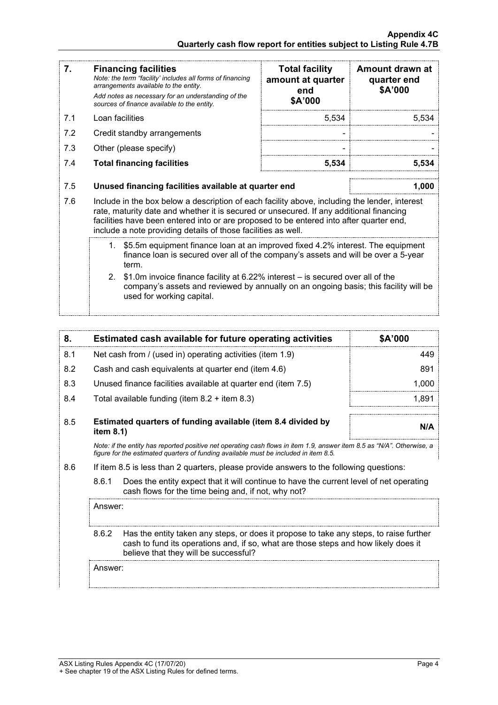| 7.  | <b>Financing facilities</b><br>Note: the term "facility' includes all forms of financing<br>arrangements available to the entity.<br>Add notes as necessary for an understanding of the<br>sources of finance available to the entity.                                                                                                               | <b>Total facility</b><br>amount at quarter<br>end<br>\$A'000 | Amount drawn at<br>quarter end<br>\$A'000 |
|-----|------------------------------------------------------------------------------------------------------------------------------------------------------------------------------------------------------------------------------------------------------------------------------------------------------------------------------------------------------|--------------------------------------------------------------|-------------------------------------------|
| 7.1 | Loan facilities                                                                                                                                                                                                                                                                                                                                      | 5,534                                                        | 5,534                                     |
| 7.2 | Credit standby arrangements                                                                                                                                                                                                                                                                                                                          |                                                              |                                           |
| 7.3 | Other (please specify)                                                                                                                                                                                                                                                                                                                               |                                                              |                                           |
| 7.4 | <b>Total financing facilities</b>                                                                                                                                                                                                                                                                                                                    | 5,534                                                        | 5,534                                     |
| 7.5 | Unused financing facilities available at quarter end                                                                                                                                                                                                                                                                                                 |                                                              | 1,000                                     |
| 7.6 | Include in the box below a description of each facility above, including the lender, interest<br>rate, maturity date and whether it is secured or unsecured. If any additional financing<br>facilities have been entered into or are proposed to be entered into after quarter end,<br>include a note providing details of those facilities as well. |                                                              |                                           |
|     | \$5.5m equipment finance loan at an improved fixed 4.2% interest. The equipment<br>1.<br>finance loan is secured over all of the company's assets and will be over a 5-year<br>term.                                                                                                                                                                 |                                                              |                                           |
|     | $2_{-}$<br>\$1.0m invoice finance facility at 6.22% interest - is secured over all of the<br>company's assets and reviewed by annually on an ongoing basis; this facility will be<br>used for working capital.                                                                                                                                       |                                                              |                                           |

| 8.  | Estimated cash available for future operating activities                                                                                                                                                       | \$A'000 |
|-----|----------------------------------------------------------------------------------------------------------------------------------------------------------------------------------------------------------------|---------|
| 8.1 | Net cash from / (used in) operating activities (item 1.9)                                                                                                                                                      | 449     |
| 8.2 | Cash and cash equivalents at quarter end (item 4.6)                                                                                                                                                            | 891     |
| 8.3 | Unused finance facilities available at quarter end (item 7.5)                                                                                                                                                  | 1.000   |
| 8.4 | Total available funding (item $8.2 +$ item $8.3$ )                                                                                                                                                             | 1.891   |
| 8.5 | Estimated quarters of funding available (item 8.4 divided by<br>item $8.1$ )                                                                                                                                   |         |
|     | Note: if the entity has reported positive net operating cash flows in item 1.9, answer item 8.5 as "N/A". Otherwise, a<br>figure for the estimated guarters of funding available must be included in item 8.5. |         |
| 8.6 | If item 8.5 is less than 2 quarters, please provide answers to the following questions:                                                                                                                        |         |
|     | Does the entity expect that it will continue to have the current level of net operating<br>8.6.1<br>cash flows for the time being and, if not, why not?                                                        |         |

Answer:

8.6.2 Has the entity taken any steps, or does it propose to take any steps, to raise further cash to fund its operations and, if so, what are those steps and how likely does it believe that they will be successful?

Answer: